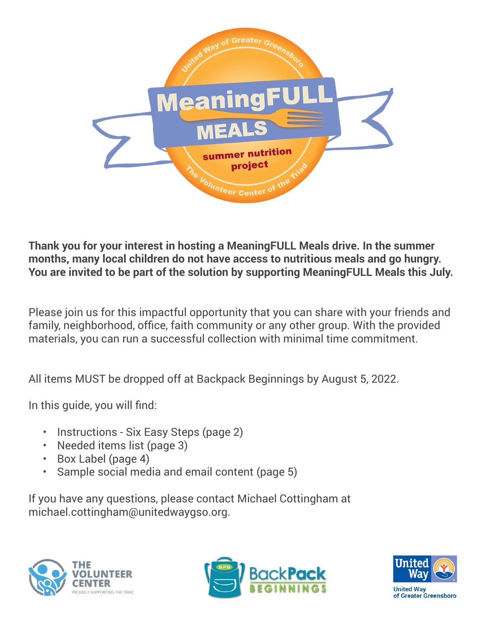

**Thank you for your interest in hosting a MeaningFULL Meals drive. In the summer months, many local children do not have access to nutritious meals and go hungry. You are invited to be part of the solution by supporting MeaningFULL Meals this July.**

Please join us for this impactful opportunity that you can share with your friends and family, neighborhood, office, faith community or any other group. With the provided materials, you can run a successful collection with minimal time commitment.

All items MUST be dropped off at Backpack Beginnings by August 5, 2022.

In this guide, you will find:

- Instructions Six Easy Steps (page 2)
- Needed items list (page 3)
- Box Label (page 4)
- Sample social media and email content (page 5)

If you have any questions, please contact Michael Cottingham at michael.cottingham@unitedwaygso.org.





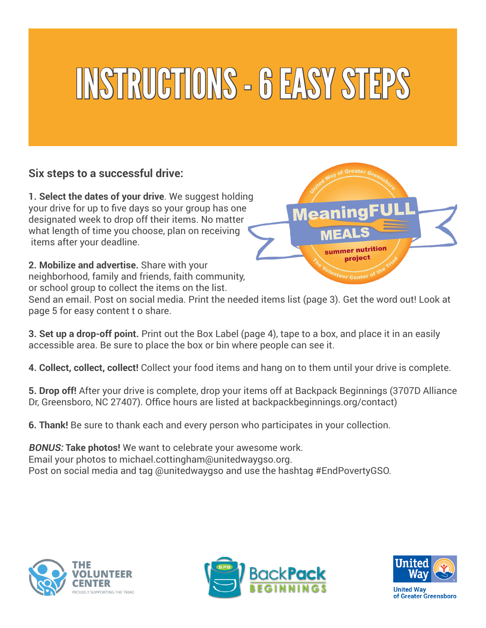## INSTRUCTIONS - 6 EASY STEPS

### **Six steps to a successful drive:**

**1. Select the dates of your drive**. We suggest holding your drive for up to five days so your group has one designated week to drop off their items. No matter what length of time you choose, plan on receiving items after your deadline.

**2. Mobilize and advertise.** Share with your neighborhood, family and friends, faith community, or school group to collect the items on the list.

Send an email. Post on social media. Print the needed items list (page 3). Get the word out! Look at page 5 for easy content t o share.

summer nutritior nroject

**3. Set up a drop-off point.** Print out the Box Label (page 4), tape to a box, and place it in an easily accessible area. Be sure to place the box or bin where people can see it.

**4. Collect, collect, collect!** Collect your food items and hang on to them until your drive is complete.

**5. Drop off!** After your drive is complete, drop your items off at Backpack Beginnings (3707D Alliance Dr, Greensboro, NC 27407). Office hours are listed at backpackbeginnings.org/contact)

**6. Thank!** Be sure to thank each and every person who participates in your collection.

**BONUS: Take photos!** We want to celebrate your awesome work. Email your photos to michael.cottingham@unitedwaygso.org. Post on social media and tag @unitedwaygso and use the hashtag #EndPovertyGSO.





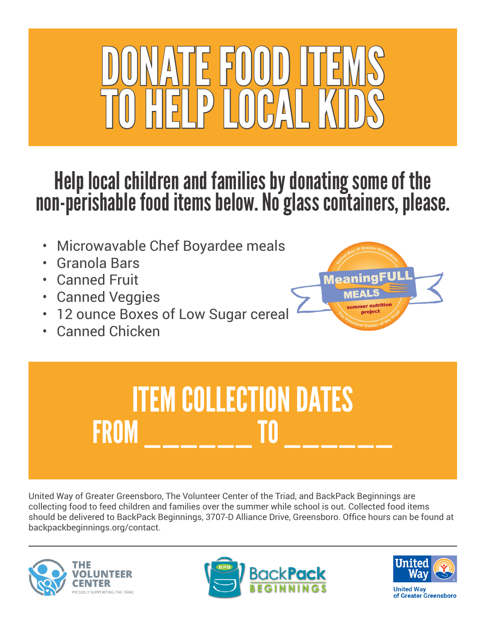

### Help local children and families by donating some of the non-perishable food items below. No glass containers, please.

- Microwavable Chef Boyardee meals
- Granola Bars
- Canned Fruit
- **Canned Veggies**
- 12 ounce Boxes of Low Sugar cereal
- Canned Chicken



### ITEM COLLECTION DATES FROM \_\_\_\_\_\_ TO \_\_\_\_\_\_

United Way of Greater Greensboro, The Volunteer Center of the Triad, and BackPack Beginnings are collecting food to feed children and families over the summer while school is out. Collected food items should be delivered to BackPack Beginnings, 3707-D Alliance Drive, Greensboro. Office hours can be found at backpackbeginnings.org/contact.







**United Wav** of Greater Greensboro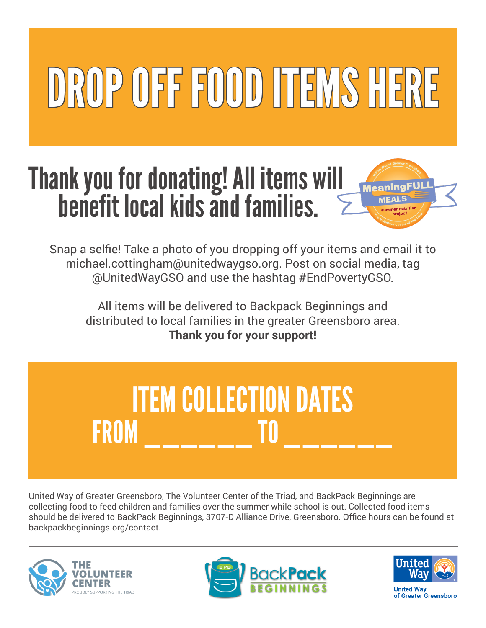# DROP OFF FOOD ITEMS HERE

### Thank you for donating! All items will benefit local kids and families.



Snap a selfie! Take a photo of you dropping off your items and email it to michael.cottingham@unitedwaygso.org. Post on social media, tag @UnitedWayGSO and use the hashtag #EndPovertyGSO.

All items will be delivered to Backpack Beginnings and distributed to local families in the greater Greensboro area. **Thank you for your support!**

### ITEM COLLECTION DATES FROM \_\_\_\_\_\_ TO \_\_\_\_\_\_

United Way of Greater Greensboro, The Volunteer Center of the Triad, and BackPack Beginnings are collecting food to feed children and families over the summer while school is out. Collected food items should be delivered to BackPack Beginnings, 3707-D Alliance Drive, Greensboro. Office hours can be found at backpackbeginnings.org/contact.







**United Wav** of Greater Greensboro